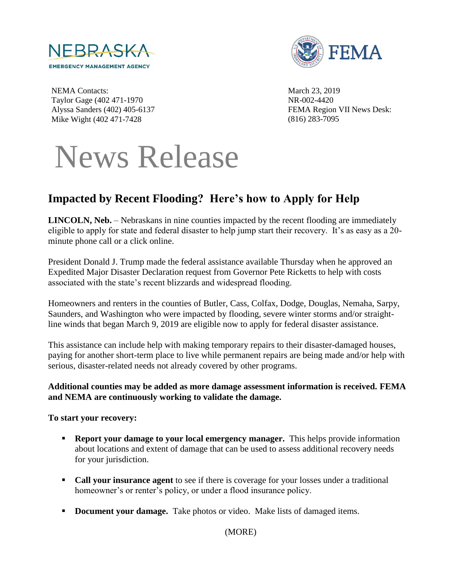



NEMA Contacts: Taylor Gage (402 471-1970 Alyssa Sanders (402) 405-6137 Mike Wight (402 471-7428

March 23, 2019 NR-002-4420 FEMA Region VII News Desk: (816) 283-7095

# News Release

# **Impacted by Recent Flooding? Here's how to Apply for Help**

**LINCOLN, Neb.** – Nebraskans in nine counties impacted by the recent flooding are immediately eligible to apply for state and federal disaster to help jump start their recovery. It's as easy as a 20 minute phone call or a click online.

President Donald J. Trump made the federal assistance available Thursday when he approved an Expedited Major Disaster Declaration request from Governor Pete Ricketts to help with costs associated with the state's recent blizzards and widespread flooding.

Homeowners and renters in the counties of Butler, Cass, Colfax, Dodge, Douglas, Nemaha, Sarpy, Saunders, and Washington who were impacted by flooding, severe winter storms and/or straightline winds that began March 9, 2019 are eligible now to apply for federal disaster assistance.

This assistance can include help with making temporary repairs to their disaster-damaged houses, paying for another short-term place to live while permanent repairs are being made and/or help with serious, disaster-related needs not already covered by other programs.

#### **Additional counties may be added as more damage assessment information is received. FEMA and NEMA are continuously working to validate the damage.**

#### **To start your recovery:**

- **Report your damage to your local emergency manager.** This helps provide information about locations and extent of damage that can be used to assess additional recovery needs for your jurisdiction.
- **Call your insurance agent** to see if there is coverage for your losses under a traditional homeowner's or renter's policy, or under a flood insurance policy.
- **Document your damage.** Take photos or video. Make lists of damaged items.

(MORE)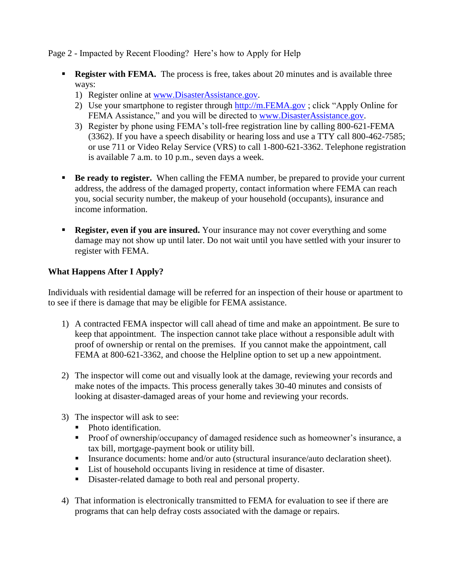Page 2 - Impacted by Recent Flooding? Here's how to Apply for Help

- **Register with FEMA.** The process is free, takes about 20 minutes and is available three ways:
	- 1) Register online at [www.DisasterAssistance.gov.](http://www.disasterassistance.gov/)
	- 2) Use your smartphone to register through [http://m.FEMA.gov](http://m.fema.gov/) ; click "Apply Online for FEMA Assistance," and you will be directed to [www.DisasterAssistance.gov.](http://www.disasterassistance.gov/)
	- 3) Register by phone using FEMA's toll-free registration line by calling 800-621-FEMA (3362). If you have a speech disability or hearing loss and use a TTY call 800-462-7585; or use 711 or Video Relay Service (VRS) to call 1-800-621-3362. Telephone registration is available 7 a.m. to 10 p.m., seven days a week.
- **Be ready to register.** When calling the FEMA number, be prepared to provide your current address, the address of the damaged property, contact information where FEMA can reach you, social security number, the makeup of your household (occupants), insurance and income information.
- **Register, even if you are insured.** Your insurance may not cover everything and some damage may not show up until later. Do not wait until you have settled with your insurer to register with FEMA.

## **What Happens After I Apply?**

Individuals with residential damage will be referred for an inspection of their house or apartment to to see if there is damage that may be eligible for FEMA assistance.

- 1) A contracted FEMA inspector will call ahead of time and make an appointment. Be sure to keep that appointment. The inspection cannot take place without a responsible adult with proof of ownership or rental on the premises. If you cannot make the appointment, call FEMA at 800-621-3362, and choose the Helpline option to set up a new appointment.
- 2) The inspector will come out and visually look at the damage, reviewing your records and make notes of the impacts. This process generally takes 30-40 minutes and consists of looking at disaster-damaged areas of your home and reviewing your records.
- 3) The inspector will ask to see:
	- Photo identification.
	- **Proof of ownership/occupancy of damaged residence such as homeowner's insurance, a** tax bill, mortgage-payment book or utility bill.
	- Insurance documents: home and/or auto (structural insurance/auto declaration sheet).
	- List of household occupants living in residence at time of disaster.
	- Disaster-related damage to both real and personal property.
- 4) That information is electronically transmitted to FEMA for evaluation to see if there are programs that can help defray costs associated with the damage or repairs.